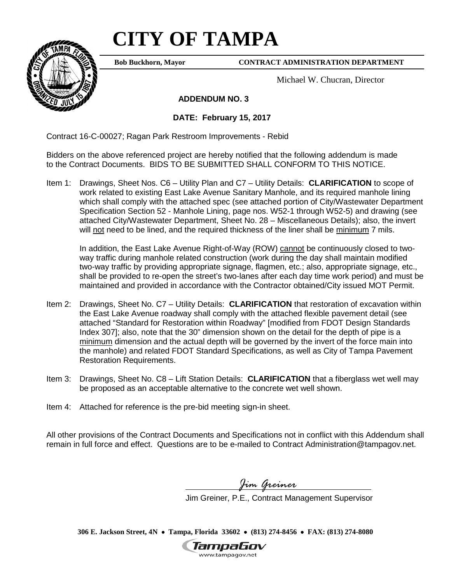# **CITY OF TAMPA**



**Bob Buckhorn, Mayor**

#### **CONTRACT ADMINISTRATION DEPARTMENT**

Michael W. Chucran, Director

 **ADDENDUM NO. 3**

**DATE: February 15, 2017**

Contract 16-C-00027; Ragan Park Restroom Improvements - Rebid

Bidders on the above referenced project are hereby notified that the following addendum is made to the Contract Documents. BIDS TO BE SUBMITTED SHALL CONFORM TO THIS NOTICE.

Item 1: Drawings, Sheet Nos. C6 – Utility Plan and C7 – Utility Details: **CLARIFICATION** to scope of work related to existing East Lake Avenue Sanitary Manhole, and its required manhole lining which shall comply with the attached spec (see attached portion of City/Wastewater Department Specification Section 52 - Manhole Lining, page nos. W52-1 through W52-5) and drawing (see attached City/Wastewater Department, Sheet No. 28 – Miscellaneous Details); also, the invert will not need to be lined, and the required thickness of the liner shall be minimum 7 mils.

In addition, the East Lake Avenue Right-of-Way (ROW) cannot be continuously closed to twoway traffic during manhole related construction (work during the day shall maintain modified two-way traffic by providing appropriate signage, flagmen, etc.; also, appropriate signage, etc., shall be provided to re-open the street's two-lanes after each day time work period) and must be maintained and provided in accordance with the Contractor obtained/City issued MOT Permit.

- Item 2: Drawings, Sheet No. C7 Utility Details: **CLARIFICATION** that restoration of excavation within the East Lake Avenue roadway shall comply with the attached flexible pavement detail (see attached "Standard for Restoration within Roadway" [modified from FDOT Design Standards Index 307]; also, note that the 30" dimension shown on the detail for the depth of pipe is a minimum dimension and the actual depth will be governed by the invert of the force main into the manhole) and related FDOT Standard Specifications, as well as City of Tampa Pavement Restoration Requirements.
- Item 3: Drawings, Sheet No. C8 Lift Station Details: **CLARIFICATION** that a fiberglass wet well may be proposed as an acceptable alternative to the concrete wet well shown.
- Item 4: Attached for reference is the pre-bid meeting sign-in sheet.

All other provisions of the Contract Documents and Specifications not in conflict with this Addendum shall remain in full force and effect. Questions are to be e-mailed to Contract Administration@tampagov.net.

*Jim Greiner*

Jim Greiner, P.E., Contract Management Supervisor

**306 E. Jackson Street, 4N** • **Tampa, Florida 33602** • **(813) 274-8456** • **FAX: (813) 274-8080**

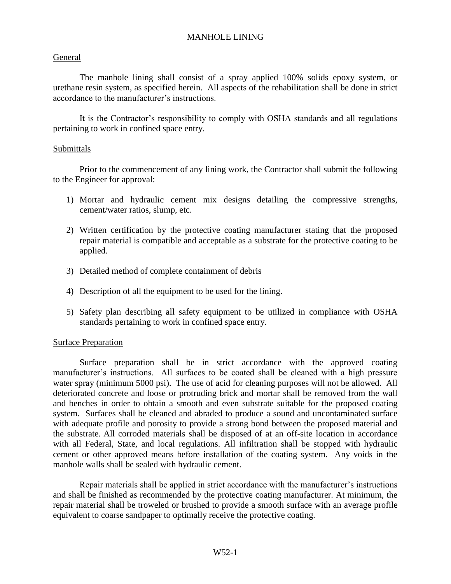## MANHOLE LINING

## General

The manhole lining shall consist of a spray applied 100% solids epoxy system, or urethane resin system, as specified herein. All aspects of the rehabilitation shall be done in strict accordance to the manufacturer's instructions.

It is the Contractor's responsibility to comply with OSHA standards and all regulations pertaining to work in confined space entry.

## Submittals

Prior to the commencement of any lining work, the Contractor shall submit the following to the Engineer for approval:

- 1) Mortar and hydraulic cement mix designs detailing the compressive strengths, cement/water ratios, slump, etc.
- 2) Written certification by the protective coating manufacturer stating that the proposed repair material is compatible and acceptable as a substrate for the protective coating to be applied.
- 3) Detailed method of complete containment of debris
- 4) Description of all the equipment to be used for the lining.
- 5) Safety plan describing all safety equipment to be utilized in compliance with OSHA standards pertaining to work in confined space entry.

## Surface Preparation

Surface preparation shall be in strict accordance with the approved coating manufacturer's instructions. All surfaces to be coated shall be cleaned with a high pressure water spray (minimum 5000 psi). The use of acid for cleaning purposes will not be allowed. All deteriorated concrete and loose or protruding brick and mortar shall be removed from the wall and benches in order to obtain a smooth and even substrate suitable for the proposed coating system. Surfaces shall be cleaned and abraded to produce a sound and uncontaminated surface with adequate profile and porosity to provide a strong bond between the proposed material and the substrate. All corroded materials shall be disposed of at an off-site location in accordance with all Federal, State, and local regulations. All infiltration shall be stopped with hydraulic cement or other approved means before installation of the coating system. Any voids in the manhole walls shall be sealed with hydraulic cement.

Repair materials shall be applied in strict accordance with the manufacturer's instructions and shall be finished as recommended by the protective coating manufacturer. At minimum, the repair material shall be troweled or brushed to provide a smooth surface with an average profile equivalent to coarse sandpaper to optimally receive the protective coating.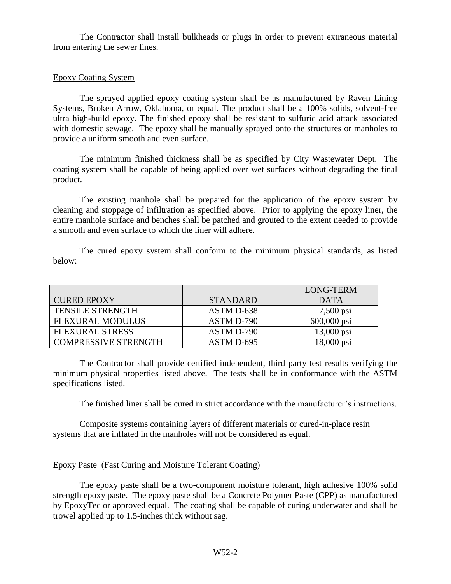The Contractor shall install bulkheads or plugs in order to prevent extraneous material from entering the sewer lines.

#### Epoxy Coating System

The sprayed applied epoxy coating system shall be as manufactured by Raven Lining Systems, Broken Arrow, Oklahoma, or equal. The product shall be a 100% solids, solvent-free ultra high-build epoxy. The finished epoxy shall be resistant to sulfuric acid attack associated with domestic sewage. The epoxy shall be manually sprayed onto the structures or manholes to provide a uniform smooth and even surface.

The minimum finished thickness shall be as specified by City Wastewater Dept. The coating system shall be capable of being applied over wet surfaces without degrading the final product.

The existing manhole shall be prepared for the application of the epoxy system by cleaning and stoppage of infiltration as specified above. Prior to applying the epoxy liner, the entire manhole surface and benches shall be patched and grouted to the extent needed to provide a smooth and even surface to which the liner will adhere.

The cured epoxy system shall conform to the minimum physical standards, as listed below:

|                             |                 | LONG-TERM              |
|-----------------------------|-----------------|------------------------|
| <b>CURED EPOXY</b>          | <b>STANDARD</b> | <b>DATA</b>            |
| <b>TENSILE STRENGTH</b>     | ASTM D-638      | $7,500 \,\mathrm{psi}$ |
| <b>FLEXURAL MODULUS</b>     | ASTM D-790      | $600,000$ psi          |
| <b>FLEXURAL STRESS</b>      | ASTM D-790      | $13,000 \text{ psi}$   |
| <b>COMPRESSIVE STRENGTH</b> | ASTM D-695      | 18,000 psi             |

The Contractor shall provide certified independent, third party test results verifying the minimum physical properties listed above. The tests shall be in conformance with the ASTM specifications listed.

The finished liner shall be cured in strict accordance with the manufacturer's instructions.

Composite systems containing layers of different materials or cured-in-place resin systems that are inflated in the manholes will not be considered as equal.

#### Epoxy Paste (Fast Curing and Moisture Tolerant Coating)

The epoxy paste shall be a two-component moisture tolerant, high adhesive 100% solid strength epoxy paste. The epoxy paste shall be a Concrete Polymer Paste (CPP) as manufactured by EpoxyTec or approved equal. The coating shall be capable of curing underwater and shall be trowel applied up to 1.5-inches thick without sag.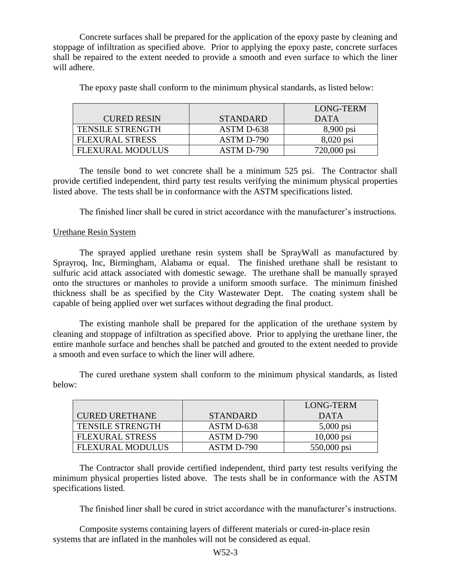Concrete surfaces shall be prepared for the application of the epoxy paste by cleaning and stoppage of infiltration as specified above. Prior to applying the epoxy paste, concrete surfaces shall be repaired to the extent needed to provide a smooth and even surface to which the liner will adhere.

|                         |                 | LONG-TERM           |
|-------------------------|-----------------|---------------------|
| <b>CURED RESIN</b>      | <b>STANDARD</b> | DATA                |
| <b>TENSILE STRENGTH</b> | ASTM D-638      | $8,900 \text{ psi}$ |
| <b>FLEXURAL STRESS</b>  | ASTM D-790      | 8,020 psi           |
| <b>FLEXURAL MODULUS</b> | ASTM D-790      | 720,000 psi         |

The epoxy paste shall conform to the minimum physical standards, as listed below:

The tensile bond to wet concrete shall be a minimum 525 psi. The Contractor shall provide certified independent, third party test results verifying the minimum physical properties listed above. The tests shall be in conformance with the ASTM specifications listed.

The finished liner shall be cured in strict accordance with the manufacturer's instructions.

#### Urethane Resin System

The sprayed applied urethane resin system shall be SprayWall as manufactured by Sprayroq, Inc, Birmingham, Alabama or equal. The finished urethane shall be resistant to sulfuric acid attack associated with domestic sewage. The urethane shall be manually sprayed onto the structures or manholes to provide a uniform smooth surface. The minimum finished thickness shall be as specified by the City Wastewater Dept. The coating system shall be capable of being applied over wet surfaces without degrading the final product.

The existing manhole shall be prepared for the application of the urethane system by cleaning and stoppage of infiltration as specified above. Prior to applying the urethane liner, the entire manhole surface and benches shall be patched and grouted to the extent needed to provide a smooth and even surface to which the liner will adhere.

The cured urethane system shall conform to the minimum physical standards, as listed below:

|                         |                 | <b>LONG-TERM</b> |
|-------------------------|-----------------|------------------|
| <b>CURED URETHANE</b>   | <b>STANDARD</b> | DATA             |
| <b>TENSILE STRENGTH</b> | ASTM D-638      | $5,000$ psi      |
| <b>FLEXURAL STRESS</b>  | ASTM D-790      | $10,000$ psi     |
| <b>FLEXURAL MODULUS</b> | ASTM D-790      | 550,000 psi      |

The Contractor shall provide certified independent, third party test results verifying the minimum physical properties listed above. The tests shall be in conformance with the ASTM specifications listed.

The finished liner shall be cured in strict accordance with the manufacturer's instructions.

Composite systems containing layers of different materials or cured-in-place resin systems that are inflated in the manholes will not be considered as equal.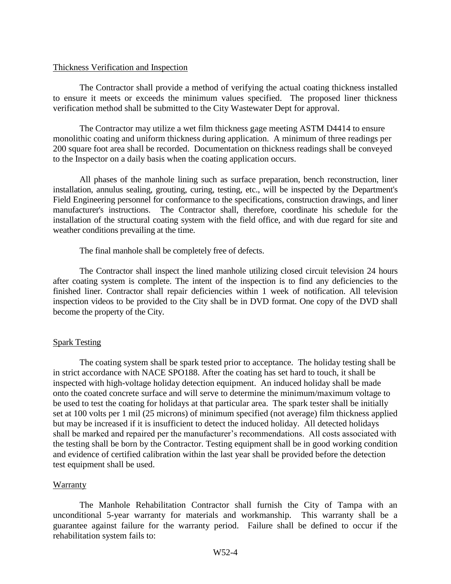#### Thickness Verification and Inspection

The Contractor shall provide a method of verifying the actual coating thickness installed to ensure it meets or exceeds the minimum values specified. The proposed liner thickness verification method shall be submitted to the City Wastewater Dept for approval.

The Contractor may utilize a wet film thickness gage meeting ASTM D4414 to ensure monolithic coating and uniform thickness during application. A minimum of three readings per 200 square foot area shall be recorded. Documentation on thickness readings shall be conveyed to the Inspector on a daily basis when the coating application occurs.

All phases of the manhole lining such as surface preparation, bench reconstruction, liner installation, annulus sealing, grouting, curing, testing, etc., will be inspected by the Department's Field Engineering personnel for conformance to the specifications, construction drawings, and liner manufacturer's instructions. The Contractor shall, therefore, coordinate his schedule for the installation of the structural coating system with the field office, and with due regard for site and weather conditions prevailing at the time.

The final manhole shall be completely free of defects.

The Contractor shall inspect the lined manhole utilizing closed circuit television 24 hours after coating system is complete. The intent of the inspection is to find any deficiencies to the finished liner. Contractor shall repair deficiencies within 1 week of notification. All television inspection videos to be provided to the City shall be in DVD format. One copy of the DVD shall become the property of the City.

## Spark Testing

The coating system shall be spark tested prior to acceptance. The holiday testing shall be in strict accordance with NACE SPO188. After the coating has set hard to touch, it shall be inspected with high-voltage holiday detection equipment. An induced holiday shall be made onto the coated concrete surface and will serve to determine the minimum/maximum voltage to be used to test the coating for holidays at that particular area. The spark tester shall be initially set at 100 volts per 1 mil (25 microns) of minimum specified (not average) film thickness applied but may be increased if it is insufficient to detect the induced holiday. All detected holidays shall be marked and repaired per the manufacturer's recommendations. All costs associated with the testing shall be born by the Contractor. Testing equipment shall be in good working condition and evidence of certified calibration within the last year shall be provided before the detection test equipment shall be used.

## Warranty

The Manhole Rehabilitation Contractor shall furnish the City of Tampa with an unconditional 5-year warranty for materials and workmanship. This warranty shall be a guarantee against failure for the warranty period. Failure shall be defined to occur if the rehabilitation system fails to: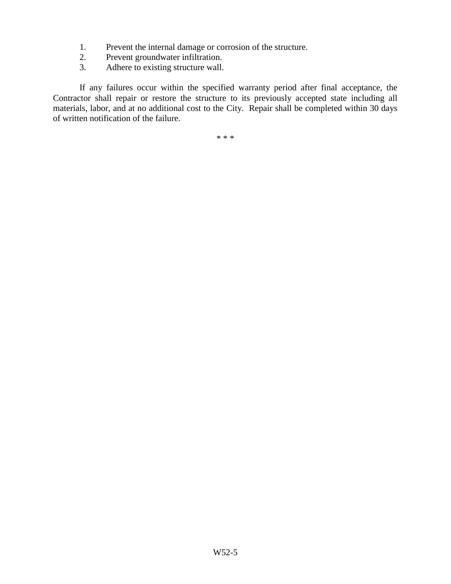- 1. Prevent the internal damage or corrosion of the structure.
- 2. Prevent groundwater infiltration.
- 3. Adhere to existing structure wall.

If any failures occur within the specified warranty period after final acceptance, the Contractor shall repair or restore the structure to its previously accepted state including all materials, labor, and at no additional cost to the City. Repair shall be completed within 30 days of written notification of the failure.

\* \* \*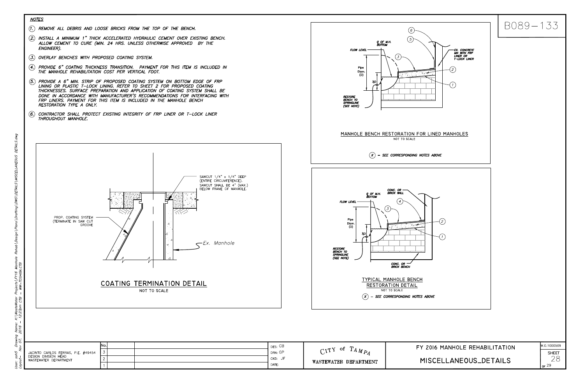

DETAILS. SNO TAILS ð£ S K:\WasteWater<br>- 12:23pm CTB Name<br>2016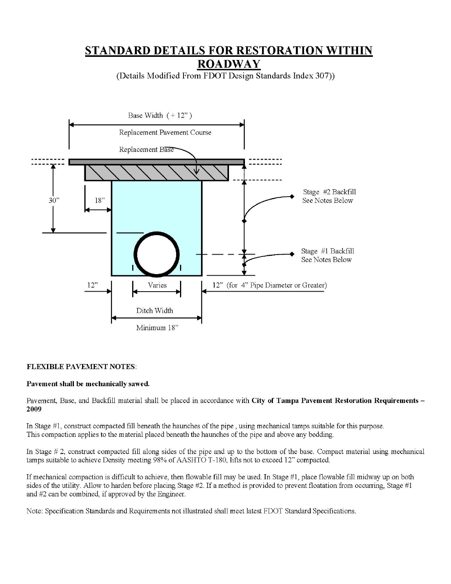## STANDARD DETAILS FOR RESTORATION WITHIN **ROADWAY**

(Details Modified From FDOT Design Standards Index 307))



#### **FLEXIBLE PAVEMENT NOTES:**

#### Pavement shall be mechanically sawed.

Pavement, Base, and Backfill material shall be placed in accordance with City of Tampa Pavement Restoration Requirements -2009

In Stage #1, construct compacted fill beneath the haunches of the pipe, using mechanical tamps suitable for this purpose. This compaction applies to the material placed beneath the haunches of the pipe and above any bedding.

In Stage  $\#$  2, construct compacted fill along sides of the pipe and up to the bottom of the base. Compact material using mechanical tamps suitable to achieve Density meeting 98% of AASHTO T-180, lifts not to exceed 12" compacted.

If mechanical compaction is difficult to achieve, then flowable fill may be used. In Stage #1, place flowable fill midway up on both sides of the utility. Allow to harden before placing Stage #2. If a method is provided to prevent floatation from occurring, Stage #1 and #2 can be combined, if approved by the Engineer.

Note: Specification Standards and Requirements not illustrated shall meet latest FDOT Standard Specifications.